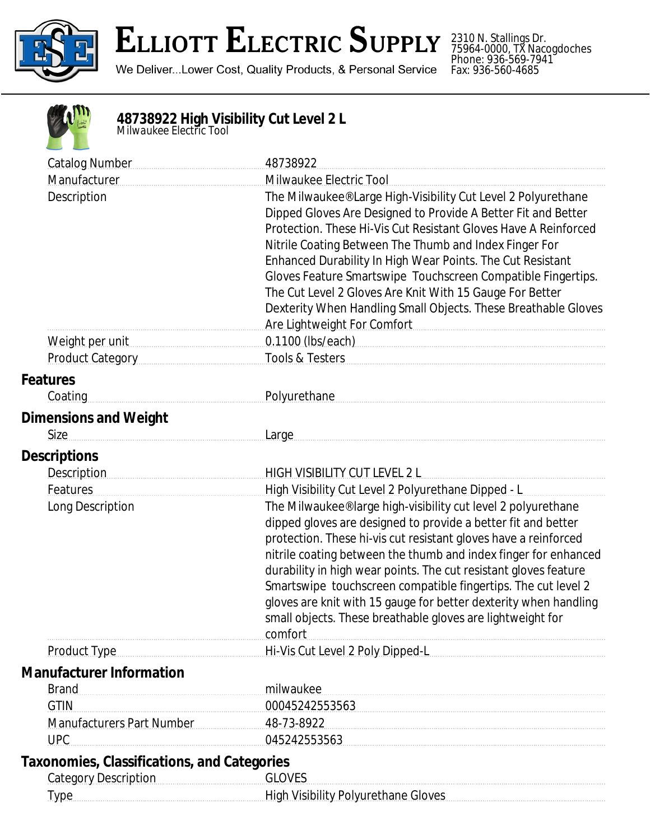

## **ELLIOTT ELECTRIC SUPPLY**

We Deliver...Lower Cost, Quality Products, & Personal Service

2310 N. Stallings Dr. 75964-0000, TX Nacogdoches Phone: 936-569-7941 Fax: 936-560-4685

## **48738922 High Visibility Cut Level 2 L** *Milwaukee Electric Tool*

| <b>Catalog Number</b>                              | 48738922                                                                                                                                                                                                                                                                                                                                                                                                                                                                                                                                                                                  |
|----------------------------------------------------|-------------------------------------------------------------------------------------------------------------------------------------------------------------------------------------------------------------------------------------------------------------------------------------------------------------------------------------------------------------------------------------------------------------------------------------------------------------------------------------------------------------------------------------------------------------------------------------------|
| Manufacturer                                       | Milwaukee Electric Tool                                                                                                                                                                                                                                                                                                                                                                                                                                                                                                                                                                   |
| Description                                        | The Milwaukee® Large High-Visibility Cut Level 2 Polyurethane<br>Dipped Gloves Are Designed to Provide A Better Fit and Better<br>Protection. These Hi-Vis Cut Resistant Gloves Have A Reinforced<br>Nitrile Coating Between The Thumb and Index Finger For<br>Enhanced Durability In High Wear Points. The Cut Resistant<br>Gloves Feature Smartswipe Touchscreen Compatible Fingertips.<br>The Cut Level 2 Gloves Are Knit With 15 Gauge For Better<br>Dexterity When Handling Small Objects. These Breathable Gloves<br>Are Lightweight For Comfort [1994] Are Lightweight For Comfort |
| Weight per unit                                    | 0.1100 (lbs/each) [10]                                                                                                                                                                                                                                                                                                                                                                                                                                                                                                                                                                    |
| <b>Product Category</b>                            | <b>Tools &amp; Testers</b>                                                                                                                                                                                                                                                                                                                                                                                                                                                                                                                                                                |
| <b>Features</b>                                    |                                                                                                                                                                                                                                                                                                                                                                                                                                                                                                                                                                                           |
| Coating                                            | Polyurethane                                                                                                                                                                                                                                                                                                                                                                                                                                                                                                                                                                              |
| <b>Dimensions and Weight</b>                       |                                                                                                                                                                                                                                                                                                                                                                                                                                                                                                                                                                                           |
| <b>Size</b>                                        | Large                                                                                                                                                                                                                                                                                                                                                                                                                                                                                                                                                                                     |
| <b>Descriptions</b>                                |                                                                                                                                                                                                                                                                                                                                                                                                                                                                                                                                                                                           |
| <b>Description</b>                                 | HIGH VISIBILITY CUT LEVEL 2 L                                                                                                                                                                                                                                                                                                                                                                                                                                                                                                                                                             |
| Features                                           | High Visibility Cut Level 2 Polyurethane Dipped - L                                                                                                                                                                                                                                                                                                                                                                                                                                                                                                                                       |
| Long Description                                   | The Milwaukee® large high-visibility cut level 2 polyurethane                                                                                                                                                                                                                                                                                                                                                                                                                                                                                                                             |
|                                                    | dipped gloves are designed to provide a better fit and better                                                                                                                                                                                                                                                                                                                                                                                                                                                                                                                             |
|                                                    | protection. These hi-vis cut resistant gloves have a reinforced                                                                                                                                                                                                                                                                                                                                                                                                                                                                                                                           |
|                                                    | nitrile coating between the thumb and index finger for enhanced                                                                                                                                                                                                                                                                                                                                                                                                                                                                                                                           |
|                                                    | durability in high wear points. The cut resistant gloves feature                                                                                                                                                                                                                                                                                                                                                                                                                                                                                                                          |
|                                                    | Smartswipe touchscreen compatible fingertips. The cut level 2<br>gloves are knit with 15 gauge for better dexterity when handling                                                                                                                                                                                                                                                                                                                                                                                                                                                         |
|                                                    | small objects. These breathable gloves are lightweight for                                                                                                                                                                                                                                                                                                                                                                                                                                                                                                                                |
|                                                    | comfort                                                                                                                                                                                                                                                                                                                                                                                                                                                                                                                                                                                   |
| Product Type                                       | Hi-Vis Cut Level 2 Poly Dipped-L                                                                                                                                                                                                                                                                                                                                                                                                                                                                                                                                                          |
| <b>Manufacturer Information</b>                    |                                                                                                                                                                                                                                                                                                                                                                                                                                                                                                                                                                                           |
| <b>Brand</b>                                       | milwaukee                                                                                                                                                                                                                                                                                                                                                                                                                                                                                                                                                                                 |
| <b>GTIN</b>                                        | 00045242553563                                                                                                                                                                                                                                                                                                                                                                                                                                                                                                                                                                            |
| Manufacturers Part Number                          | 48-73-8922                                                                                                                                                                                                                                                                                                                                                                                                                                                                                                                                                                                |
| <b>UPC</b>                                         | 045242553563                                                                                                                                                                                                                                                                                                                                                                                                                                                                                                                                                                              |
| <b>Taxonomies, Classifications, and Categories</b> |                                                                                                                                                                                                                                                                                                                                                                                                                                                                                                                                                                                           |
| <b>Category Description</b>                        | <b>GLOVES</b>                                                                                                                                                                                                                                                                                                                                                                                                                                                                                                                                                                             |
| Type                                               | High Visibility Polyurethane Gloves                                                                                                                                                                                                                                                                                                                                                                                                                                                                                                                                                       |